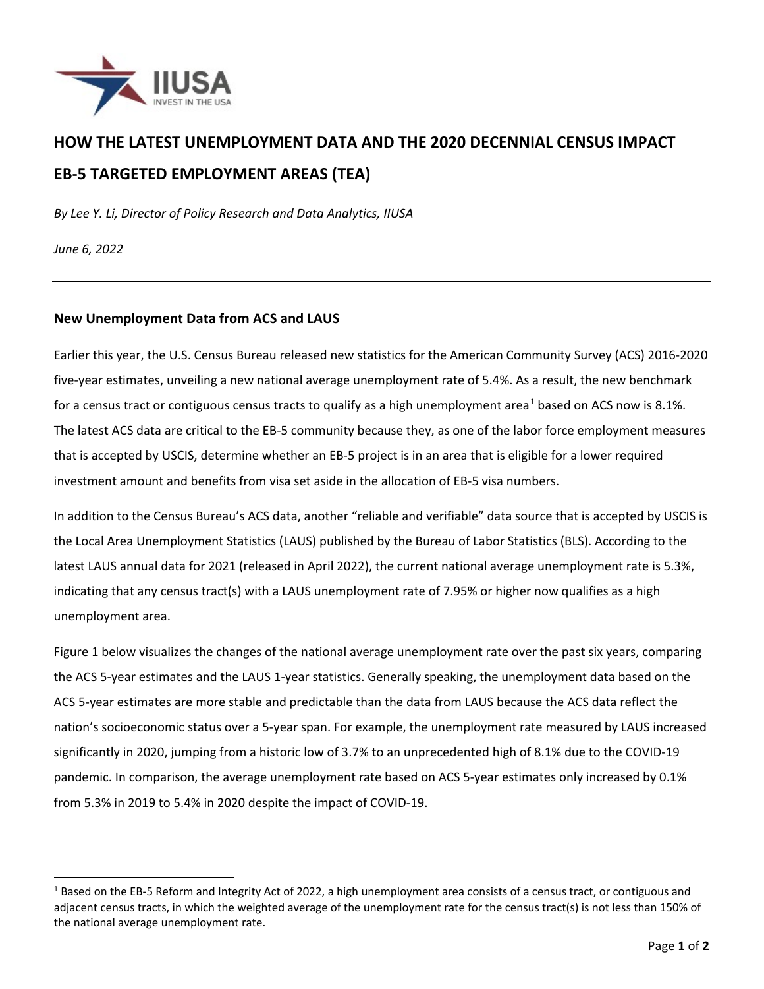

# **HOW THE LATEST UNEMPLOYMENT DATA AND THE 2020 DECENNIAL CENSUS IMPACT EB-5 TARGETED EMPLOYMENT AREAS (TEA)**

*By Lee Y. Li, Director of Policy Research and Data Analytics, IIUSA*

*June 6, 2022*

#### **New Unemployment Data from ACS and LAUS**

Earlier this year, the U.S. Census Bureau released new statistics for the American Community Survey (ACS) 2016-2020 five-year estimates, unveiling a new national average unemployment rate of 5.4%. As a result, the new benchmark for a census tract or contiguous census tracts to qualify as a high unemployment area<sup>[1](#page-0-0)</sup> based on ACS now is 8.1%. The latest ACS data are critical to the EB-5 community because they, as one of the labor force employment measures that is accepted by USCIS, determine whether an EB-5 project is in an area that is eligible for a lower required investment amount and benefits from visa set aside in the allocation of EB-5 visa numbers.

In addition to the Census Bureau's ACS data, another "reliable and verifiable" data source that is accepted by USCIS is the Local Area Unemployment Statistics (LAUS) published by the Bureau of Labor Statistics (BLS). According to the latest LAUS annual data for 2021 (released in April 2022), the current national average unemployment rate is 5.3%, indicating that any census tract(s) with a LAUS unemployment rate of 7.95% or higher now qualifies as a high unemployment area.

Figure 1 below visualizes the changes of the national average unemployment rate over the past six years, comparing the ACS 5-year estimates and the LAUS 1-year statistics. Generally speaking, the unemployment data based on the ACS 5-year estimates are more stable and predictable than the data from LAUS because the ACS data reflect the nation's socioeconomic status over a 5-year span. For example, the unemployment rate measured by LAUS increased significantly in 2020, jumping from a historic low of 3.7% to an unprecedented high of 8.1% due to the COVID-19 pandemic. In comparison, the average unemployment rate based on ACS 5-year estimates only increased by 0.1% from 5.3% in 2019 to 5.4% in 2020 despite the impact of COVID-19.

<span id="page-0-0"></span><sup>&</sup>lt;sup>1</sup> Based on the EB-5 Reform and Integrity Act of 2022, a high unemployment area consists of a census tract, or contiguous and adjacent census tracts, in which the weighted average of the unemployment rate for the census tract(s) is not less than 150% of the national average unemployment rate.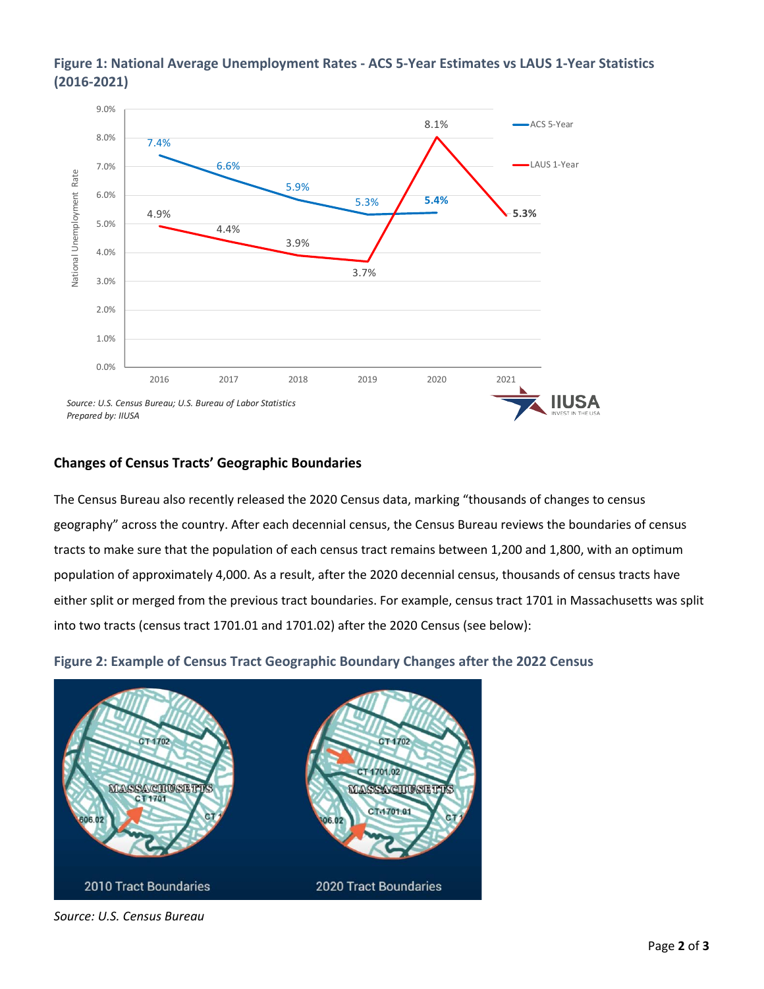

# **Figure 1: National Average Unemployment Rates - ACS 5-Year Estimates vs LAUS 1-Year Statistics (2016-2021)**

# **Changes of Census Tracts' Geographic Boundaries**

The Census Bureau also recently released the 2020 Census data, marking "thousands of changes to census geography" across the country. After each decennial census, the Census Bureau reviews the boundaries of census tracts to make sure that the population of each census tract remains between 1,200 and 1,800, with an optimum population of approximately 4,000. As a result, after the 2020 decennial census, thousands of census tracts have either split or merged from the previous tract boundaries. For example, census tract 1701 in Massachusetts was split into two tracts (census tract 1701.01 and 1701.02) after the 2020 Census (see below):

**Figure 2: Example of Census Tract Geographic Boundary Changes after the 2022 Census**



*Source: U.S. Census Bureau*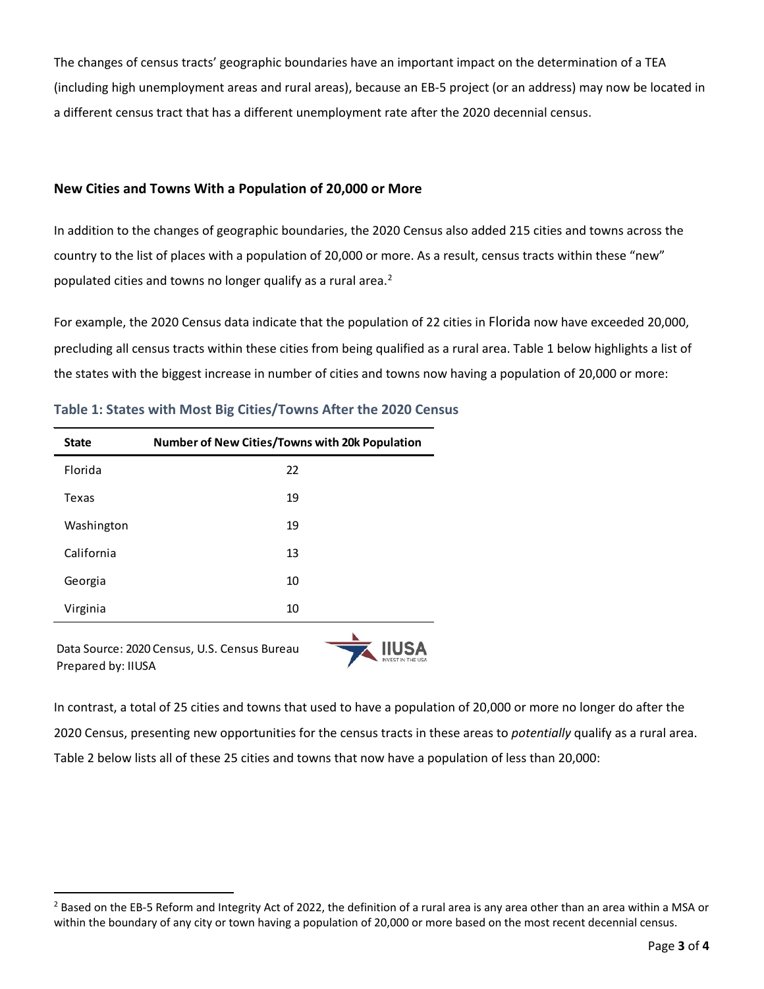The changes of census tracts' geographic boundaries have an important impact on the determination of a TEA (including high unemployment areas and rural areas), because an EB-5 project (or an address) may now be located in a different census tract that has a different unemployment rate after the 2020 decennial census.

# **New Cities and Towns With a Population of 20,000 or More**

In addition to the changes of geographic boundaries, the 2020 Census also added 215 cities and towns across the country to the list of places with a population of 20,000 or more. As a result, census tracts within these "new" populated cities and towns no longer qualify as a rural area.<sup>[2](#page-2-0)</sup>

For example, the 2020 Census data indicate that the population of 22 cities in Florida now have exceeded 20,000, precluding all census tracts within these cities from being qualified as a rural area. Table 1 below highlights a list of the states with the biggest increase in number of cities and towns now having a population of 20,000 or more:

| <b>State</b>       | <b>Number of New Cities/Towns with 20k Population</b> |  |
|--------------------|-------------------------------------------------------|--|
| Florida            | 22                                                    |  |
| Texas              | 19                                                    |  |
| Washington         | 19                                                    |  |
| California         | 13                                                    |  |
| Georgia            | 10                                                    |  |
| Virginia           | 10                                                    |  |
| Prepared by: IIUSA | Data Source: 2020 Census, U.S. Census Bureau          |  |

**Table 1: States with Most Big Cities/Towns After the 2020 Census**

In contrast, a total of 25 cities and towns that used to have a population of 20,000 or more no longer do after the 2020 Census, presenting new opportunities for the census tracts in these areas to *potentially* qualify as a rural area. Table 2 below lists all of these 25 cities and towns that now have a population of less than 20,000:

<span id="page-2-0"></span> $<sup>2</sup>$  Based on the EB-5 Reform and Integrity Act of 2022, the definition of a rural area is any area other than an area within a MSA or</sup> within the boundary of any city or town having a population of 20,000 or more based on the most recent decennial census.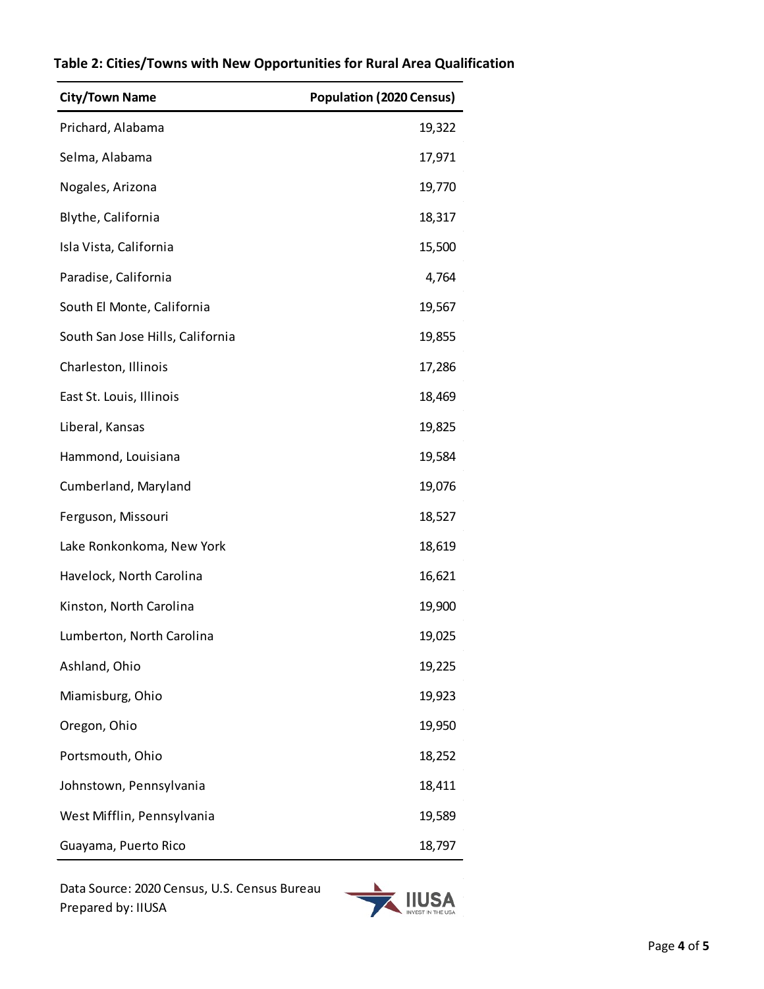| <b>City/Town Name</b>            | <b>Population (2020 Census)</b> |
|----------------------------------|---------------------------------|
| Prichard, Alabama                | 19,322                          |
| Selma, Alabama                   | 17,971                          |
| Nogales, Arizona                 | 19,770                          |
| Blythe, California               | 18,317                          |
| Isla Vista, California           | 15,500                          |
| Paradise, California             | 4,764                           |
| South El Monte, California       | 19,567                          |
| South San Jose Hills, California | 19,855                          |
| Charleston, Illinois             | 17,286                          |
| East St. Louis, Illinois         | 18,469                          |
| Liberal, Kansas                  | 19,825                          |
| Hammond, Louisiana               | 19,584                          |
| Cumberland, Maryland             | 19,076                          |
| Ferguson, Missouri               | 18,527                          |
| Lake Ronkonkoma, New York        | 18,619                          |
| Havelock, North Carolina         | 16,621                          |
| Kinston, North Carolina          | 19,900                          |
| Lumberton, North Carolina        | 19,025                          |
| Ashland, Ohio                    | 19,225                          |
| Miamisburg, Ohio                 | 19,923                          |
| Oregon, Ohio                     | 19,950                          |
| Portsmouth, Ohio                 | 18,252                          |
| Johnstown, Pennsylvania          | 18,411                          |
| West Mifflin, Pennsylvania       | 19,589                          |
| Guayama, Puerto Rico             | 18,797                          |

# **Table 2: Cities/Towns with New Opportunities for Rural Area Qualification**

Data Source: 2020 Census, U.S. Census Bureau Prepared by: IIUSA

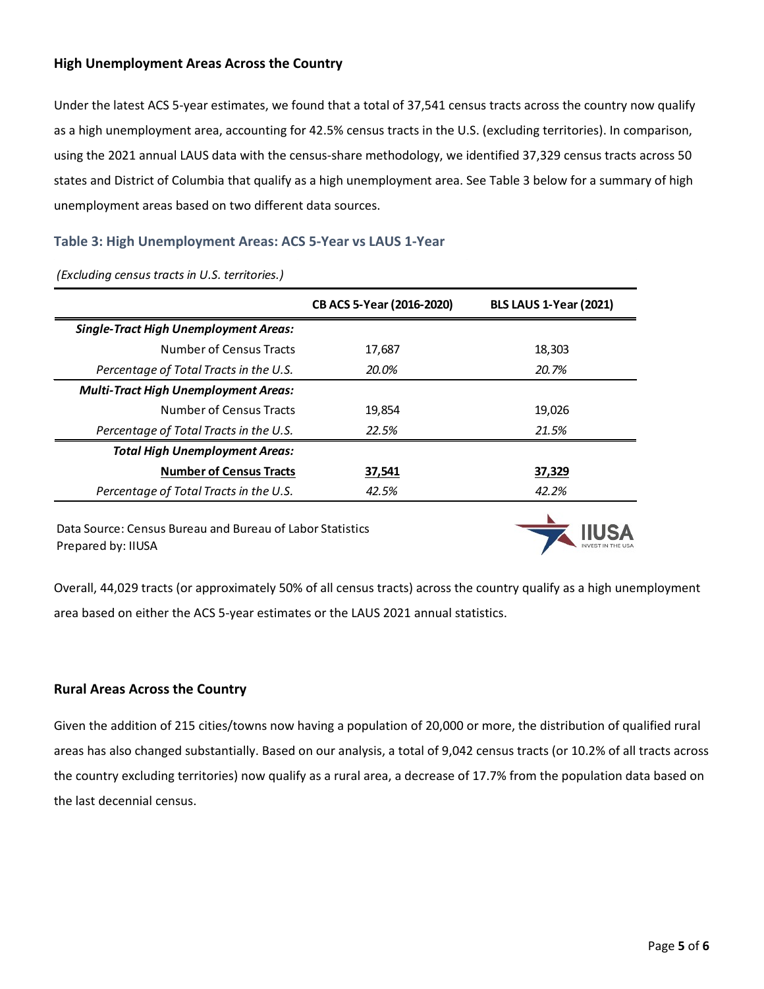#### **High Unemployment Areas Across the Country**

Under the latest ACS 5-year estimates, we found that a total of 37,541 census tracts across the country now qualify as a high unemployment area, accounting for 42.5% census tracts in the U.S. (excluding territories). In comparison, using the 2021 annual LAUS data with the census-share methodology, we identified 37,329 census tracts across 50 states and District of Columbia that qualify as a high unemployment area. See Table 3 below for a summary of high unemployment areas based on two different data sources.

# **Table 3: High Unemployment Areas: ACS 5-Year vs LAUS 1-Year**

|                                              | CB ACS 5-Year (2016-2020) | <b>BLS LAUS 1-Year (2021)</b> |
|----------------------------------------------|---------------------------|-------------------------------|
| <b>Single-Tract High Unemployment Areas:</b> |                           |                               |
| Number of Census Tracts                      | 17,687                    | 18,303                        |
| Percentage of Total Tracts in the U.S.       | 20.0%                     | 20.7%                         |
| <b>Multi-Tract High Unemployment Areas:</b>  |                           |                               |
| Number of Census Tracts                      | 19,854                    | 19,026                        |
| Percentage of Total Tracts in the U.S.       | 22.5%                     | 21.5%                         |
| <b>Total High Unemployment Areas:</b>        |                           |                               |
| <b>Number of Census Tracts</b>               | 37,541                    | 37,329                        |
| Percentage of Total Tracts in the U.S.       | 42.5%                     | 42.2%                         |
|                                              |                           |                               |

*(Excluding census tracts in U.S. territories.)*

Data Source: Census Bureau and Bureau of Labor Statistics Prepared by: IIUSA



Overall, 44,029 tracts (or approximately 50% of all census tracts) across the country qualify as a high unemployment area based on either the ACS 5-year estimates or the LAUS 2021 annual statistics.

# **Rural Areas Across the Country**

Given the addition of 215 cities/towns now having a population of 20,000 or more, the distribution of qualified rural areas has also changed substantially. Based on our analysis, a total of 9,042 census tracts (or 10.2% of all tracts across the country excluding territories) now qualify as a rural area, a decrease of 17.7% from the population data based on the last decennial census.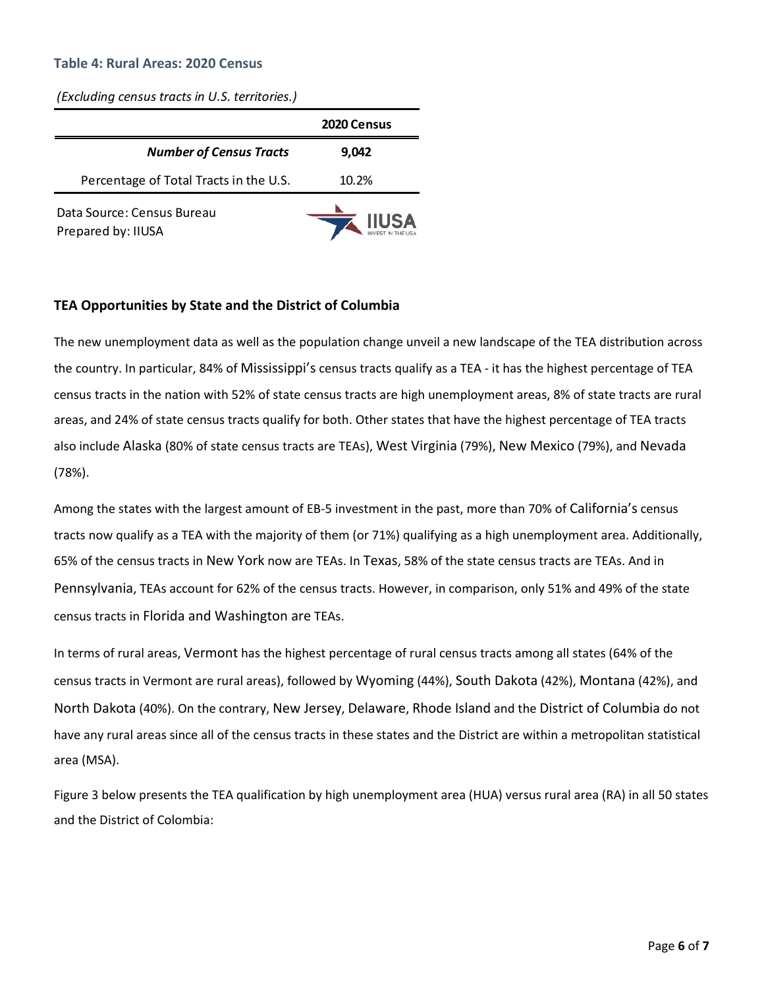#### **Table 4: Rural Areas: 2020 Census**

*(Excluding census tracts in U.S. territories.)*

|                                                  | <b>2020 Census</b> |
|--------------------------------------------------|--------------------|
| <b>Number of Census Tracts</b>                   | 9,042              |
| Percentage of Total Tracts in the U.S.           | 10.2%              |
| Data Source: Census Bureau<br>Prepared by: IIUSA | <b>IUSA</b>        |

#### **TEA Opportunities by State and the District of Columbia**

The new unemployment data as well as the population change unveil a new landscape of the TEA distribution across the country. In particular, 84% of Mississippi's census tracts qualify as a TEA - it has the highest percentage of TEA census tracts in the nation with 52% of state census tracts are high unemployment areas, 8% of state tracts are rural areas, and 24% of state census tracts qualify for both. Other states that have the highest percentage of TEA tracts also include Alaska (80% of state census tracts are TEAs), West Virginia (79%), New Mexico (79%), and Nevada (78%).

Among the states with the largest amount of EB-5 investment in the past, more than 70% of California's census tracts now qualify as a TEA with the majority of them (or 71%) qualifying as a high unemployment area. Additionally, 65% of the census tracts in New York now are TEAs. In Texas, 58% of the state census tracts are TEAs. And in Pennsylvania, TEAs account for 62% of the census tracts. However, in comparison, only 51% and 49% of the state census tracts in Florida and Washington are TEAs.

In terms of rural areas, Vermont has the highest percentage of rural census tracts among all states (64% of the census tracts in Vermont are rural areas), followed by Wyoming (44%), South Dakota (42%), Montana (42%), and North Dakota (40%). On the contrary, New Jersey, Delaware, Rhode Island and the District of Columbia do not have any rural areas since all of the census tracts in these states and the District are within a metropolitan statistical area (MSA).

Figure 3 below presents the TEA qualification by high unemployment area (HUA) versus rural area (RA) in all 50 states and the District of Colombia: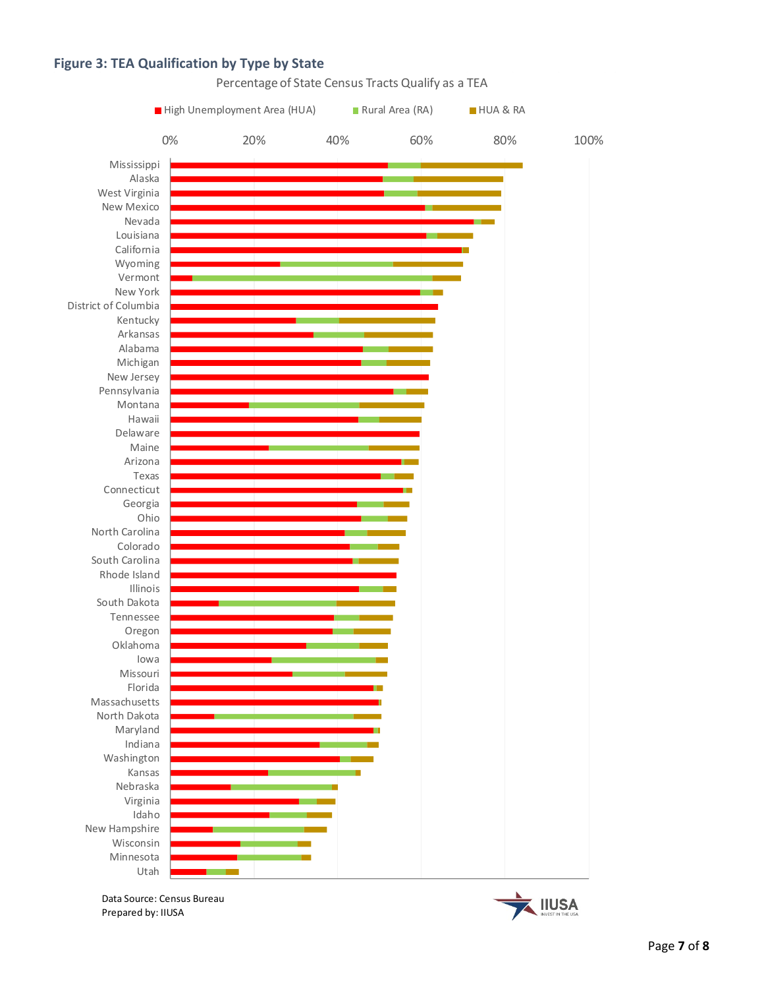#### **Figure 3: TEA Qualification by Type by State**



Data Source: Census Bureau Prepared by: IIUSA

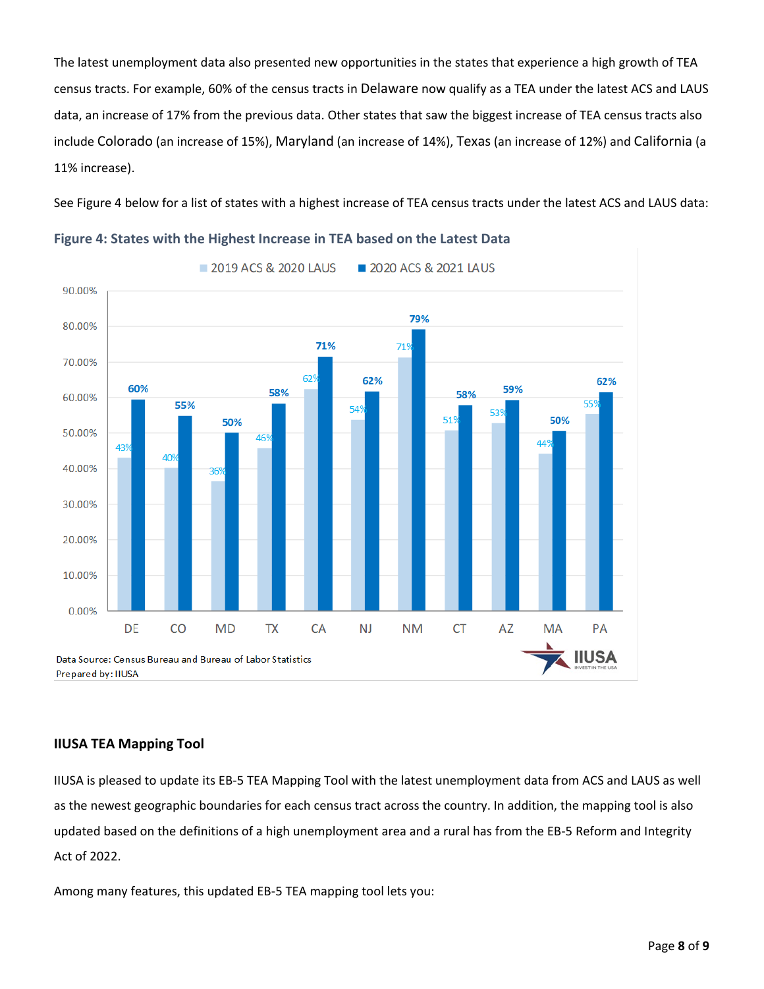The latest unemployment data also presented new opportunities in the states that experience a high growth of TEA census tracts. For example, 60% of the census tracts in Delaware now qualify as a TEA under the latest ACS and LAUS data, an increase of 17% from the previous data. Other states that saw the biggest increase of TEA census tracts also include Colorado (an increase of 15%), Maryland (an increase of 14%), Texas (an increase of 12%) and California (a 11% increase).

See Figure 4 below for a list of states with a highest increase of TEA census tracts under the latest ACS and LAUS data:



**Figure 4: States with the Highest Increase in TEA based on the Latest Data**

# **IIUSA TEA Mapping Tool**

IIUSA is pleased to update its EB-5 TEA Mapping Tool with the latest unemployment data from ACS and LAUS as well as the newest geographic boundaries for each census tract across the country. In addition, the mapping tool is also updated based on the definitions of a high unemployment area and a rural has from the EB-5 Reform and Integrity Act of 2022.

Among many features, this updated EB-5 TEA mapping tool lets you: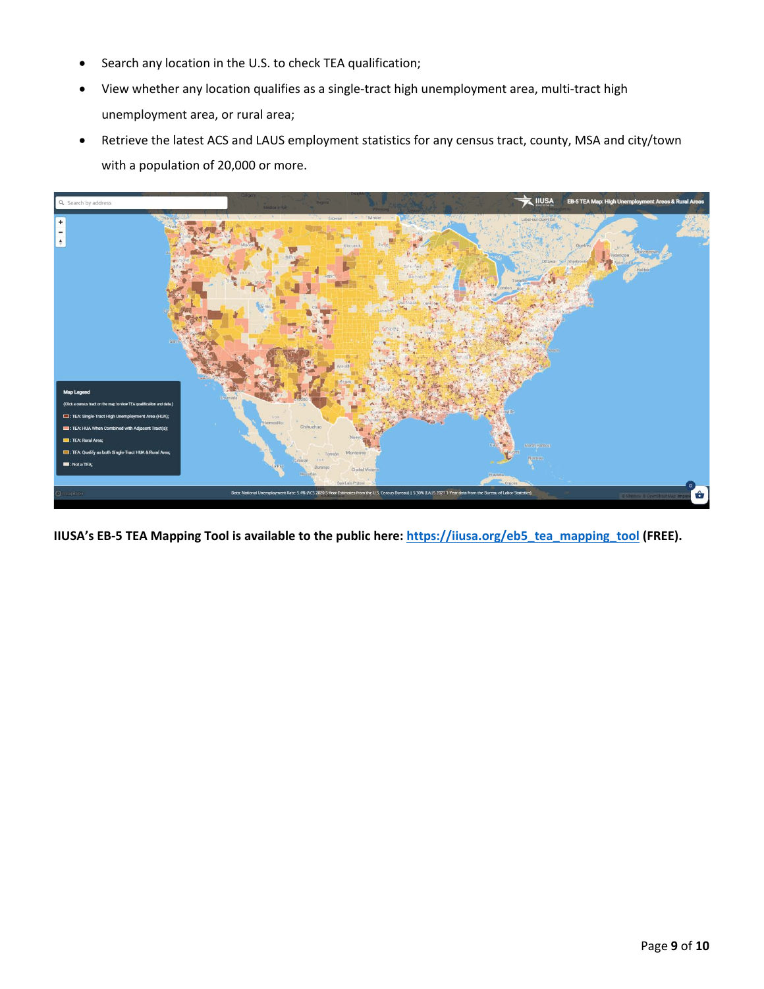- Search any location in the U.S. to check TEA qualification;
- View whether any location qualifies as a single-tract high unemployment area, multi-tract high unemployment area, or rural area;
- Retrieve the latest ACS and LAUS employment statistics for any census tract, county, MSA and city/town with a population of 20,000 or more.



**IIUSA's EB-5 TEA Mapping Tool is available to the public here: [https://iiusa.org/eb5\\_tea\\_mapping\\_tool](https://iiusa.org/eb5_tea_mapping_tool) (FREE).**